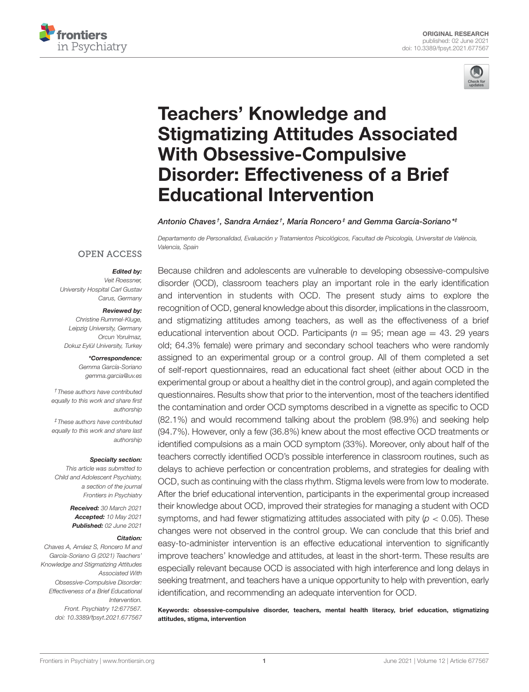



# Teachers' Knowledge and [Stigmatizing Attitudes Associated](https://www.frontiersin.org/articles/10.3389/fpsyt.2021.677567/full) With Obsessive-Compulsive Disorder: Effectiveness of a Brief Educational Intervention

Antonio Chaves†, Sandra Arnáez†, María Roncero‡ and Gemma García-Soriano\*‡

Departamento de Personalidad, Evaluación y Tratamientos Psicológicos, Facultad de Psicología, Universitat de València, Valencia, Spain

## **OPEN ACCESS**

## Edited by:

Veit Roessner, University Hospital Carl Gustav Carus, Germany

#### Reviewed by:

Christine Rummel-Kluge, Leipzig University, Germany Orcun Yorulmaz, Dokuz Eylül University, Turkey

> \*Correspondence: Gemma García-Soriano [gemma.garcia@uv.es](mailto:gemma.garcia@uv.es)

†These authors have contributed equally to this work and share first authorship

‡These authors have contributed equally to this work and share last authorship

#### Specialty section:

This article was submitted to Child and Adolescent Psychiatry, a section of the journal Frontiers in Psychiatry

> Received: 30 March 2021 Accepted: 10 May 2021 Published: 02 June 2021

#### Citation:

Chaves A, Arnáez S, Roncero M and García-Soriano G (2021) Teachers' Knowledge and Stigmatizing Attitudes Associated With Obsessive-Compulsive Disorder: Effectiveness of a Brief Educational Intervention. Front. Psychiatry 12:677567. doi: [10.3389/fpsyt.2021.677567](https://doi.org/10.3389/fpsyt.2021.677567)

Because children and adolescents are vulnerable to developing obsessive-compulsive disorder (OCD), classroom teachers play an important role in the early identification and intervention in students with OCD. The present study aims to explore the recognition of OCD, general knowledge about this disorder, implications in the classroom, and stigmatizing attitudes among teachers, as well as the effectiveness of a brief educational intervention about OCD. Participants ( $n = 95$ ; mean age = 43. 29 years old; 64.3% female) were primary and secondary school teachers who were randomly assigned to an experimental group or a control group. All of them completed a set of self-report questionnaires, read an educational fact sheet (either about OCD in the experimental group or about a healthy diet in the control group), and again completed the questionnaires. Results show that prior to the intervention, most of the teachers identified the contamination and order OCD symptoms described in a vignette as specific to OCD (82.1%) and would recommend talking about the problem (98.9%) and seeking help (94.7%). However, only a few (36.8%) knew about the most effective OCD treatments or identified compulsions as a main OCD symptom (33%). Moreover, only about half of the teachers correctly identified OCD's possible interference in classroom routines, such as delays to achieve perfection or concentration problems, and strategies for dealing with OCD, such as continuing with the class rhythm. Stigma levels were from low to moderate. After the brief educational intervention, participants in the experimental group increased their knowledge about OCD, improved their strategies for managing a student with OCD symptoms, and had fewer stigmatizing attitudes associated with pity ( $p < 0.05$ ). These changes were not observed in the control group. We can conclude that this brief and easy-to-administer intervention is an effective educational intervention to significantly improve teachers' knowledge and attitudes, at least in the short-term. These results are especially relevant because OCD is associated with high interference and long delays in seeking treatment, and teachers have a unique opportunity to help with prevention, early identification, and recommending an adequate intervention for OCD.

Keywords: obsessive-compulsive disorder, teachers, mental health literacy, brief education, stigmatizing attitudes, stigma, intervention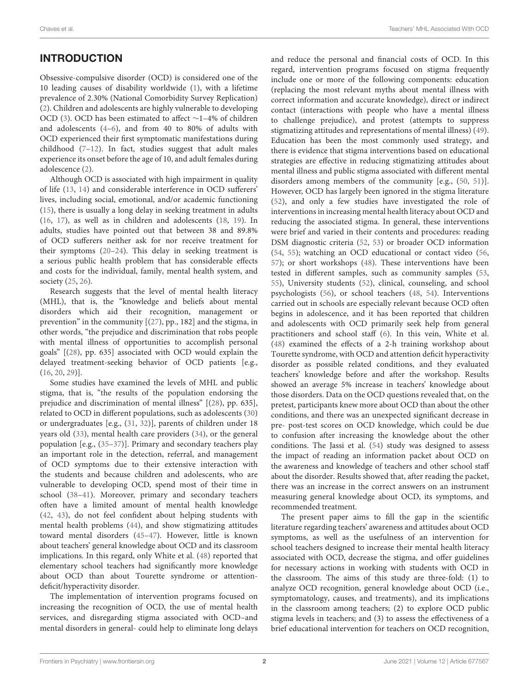# INTRODUCTION

Obsessive-compulsive disorder (OCD) is considered one of the 10 leading causes of disability worldwide [\(1\)](#page-7-0), with a lifetime prevalence of 2.30% (National Comorbidity Survey Replication) [\(2\)](#page-7-1). Children and adolescents are highly vulnerable to developing OCD [\(3\)](#page-7-2). OCD has been estimated to affect ∼1–4% of children and adolescents [\(4–](#page-7-3)[6\)](#page-7-4), and from 40 to 80% of adults with OCD experienced their first symptomatic manifestations during childhood [\(7–](#page-7-5)[12\)](#page-7-6). In fact, studies suggest that adult males experience its onset before the age of 10, and adult females during adolescence [\(2\)](#page-7-1).

Although OCD is associated with high impairment in quality of life [\(13,](#page-7-7) [14\)](#page-7-8) and considerable interference in OCD sufferers' lives, including social, emotional, and/or academic functioning [\(15\)](#page-7-9), there is usually a long delay in seeking treatment in adults [\(16,](#page-7-10) [17\)](#page-7-11), as well as in children and adolescents [\(18,](#page-7-12) [19\)](#page-7-13). In adults, studies have pointed out that between 38 and 89.8% of OCD sufferers neither ask for nor receive treatment for their symptoms [\(20–](#page-7-14)[24\)](#page-7-15). This delay in seeking treatment is a serious public health problem that has considerable effects and costs for the individual, family, mental health system, and society [\(25,](#page-8-0) [26\)](#page-8-1).

Research suggests that the level of mental health literacy (MHL), that is, the "knowledge and beliefs about mental disorders which aid their recognition, management or prevention" in the community [[\(27\)](#page-8-2), pp., 182] and the stigma, in other words, "the prejudice and discrimination that robs people with mental illness of opportunities to accomplish personal goals" [[\(28\)](#page-8-3), pp. 635] associated with OCD would explain the delayed treatment-seeking behavior of OCD patients [e.g., [\(16,](#page-7-10) [20,](#page-7-14) [29\)](#page-8-4)].

Some studies have examined the levels of MHL and public stigma, that is, "the results of the population endorsing the prejudice and discrimination of mental illness" [[\(28\)](#page-8-3), pp. 635], related to OCD in different populations, such as adolescents [\(30\)](#page-8-5) or undergraduates [e.g., [\(31,](#page-8-6) [32\)](#page-8-7)], parents of children under 18 years old [\(33\)](#page-8-8), mental health care providers [\(34\)](#page-8-9), or the general population [e.g., [\(35–](#page-8-10)[37\)](#page-8-11)]. Primary and secondary teachers play an important role in the detection, referral, and management of OCD symptoms due to their extensive interaction with the students and because children and adolescents, who are vulnerable to developing OCD, spend most of their time in school [\(38–](#page-8-12)[41\)](#page-8-13). Moreover, primary and secondary teachers often have a limited amount of mental health knowledge [\(42,](#page-8-14) [43\)](#page-8-15), do not feel confident about helping students with mental health problems [\(44\)](#page-8-16), and show stigmatizing attitudes toward mental disorders [\(45–](#page-8-17)[47\)](#page-8-18). However, little is known about teachers' general knowledge about OCD and its classroom implications. In this regard, only White et al. [\(48\)](#page-8-19) reported that elementary school teachers had significantly more knowledge about OCD than about Tourette syndrome or attentiondeficit/hyperactivity disorder.

The implementation of intervention programs focused on increasing the recognition of OCD, the use of mental health services, and disregarding stigma associated with OCD–and mental disorders in general- could help to eliminate long delays and reduce the personal and financial costs of OCD. In this regard, intervention programs focused on stigma frequently include one or more of the following components: education (replacing the most relevant myths about mental illness with correct information and accurate knowledge), direct or indirect contact (interactions with people who have a mental illness to challenge prejudice), and protest (attempts to suppress stigmatizing attitudes and representations of mental illness) [\(49\)](#page-8-20). Education has been the most commonly used strategy, and there is evidence that stigma interventions based on educational strategies are effective in reducing stigmatizing attitudes about mental illness and public stigma associated with different mental disorders among members of the community [e.g., [\(50,](#page-8-21) [51\)](#page-8-22)]. However, OCD has largely been ignored in the stigma literature [\(52\)](#page-8-23), and only a few studies have investigated the role of interventions in increasing mental health literacy about OCD and reducing the associated stigma. In general, these interventions were brief and varied in their contents and procedures: reading DSM diagnostic criteria [\(52,](#page-8-23) [53\)](#page-8-24) or broader OCD information [\(54,](#page-8-25) [55\)](#page-8-26); watching an OCD educational or contact video [\(56,](#page-8-27) [57\)](#page-8-28); or short workshops [\(48\)](#page-8-19). These interventions have been tested in different samples, such as community samples [\(53,](#page-8-24) [55\)](#page-8-26), University students [\(52\)](#page-8-23), clinical, counseling, and school psychologists [\(56\)](#page-8-27), or school teachers [\(48,](#page-8-19) [54\)](#page-8-25). Interventions carried out in schools are especially relevant because OCD often begins in adolescence, and it has been reported that children and adolescents with OCD primarily seek help from general practitioners and school staff [\(6\)](#page-7-4). In this vein, White et al. [\(48\)](#page-8-19) examined the effects of a 2-h training workshop about Tourette syndrome, with OCD and attention deficit hyperactivity disorder as possible related conditions, and they evaluated teachers' knowledge before and after the workshop. Results showed an average 5% increase in teachers' knowledge about those disorders. Data on the OCD questions revealed that, on the pretest, participants knew more about OCD than about the other conditions, and there was an unexpected significant decrease in pre- post-test scores on OCD knowledge, which could be due to confusion after increasing the knowledge about the other conditions. The Jassi et al. [\(54\)](#page-8-25) study was designed to assess the impact of reading an information packet about OCD on the awareness and knowledge of teachers and other school staff about the disorder. Results showed that, after reading the packet, there was an increase in the correct answers on an instrument measuring general knowledge about OCD, its symptoms, and recommended treatment.

The present paper aims to fill the gap in the scientific literature regarding teachers' awareness and attitudes about OCD symptoms, as well as the usefulness of an intervention for school teachers designed to increase their mental health literacy associated with OCD, decrease the stigma, and offer guidelines for necessary actions in working with students with OCD in the classroom. The aims of this study are three-fold: (1) to analyze OCD recognition, general knowledge about OCD (i.e., symptomatology, causes, and treatments), and its implications in the classroom among teachers; (2) to explore OCD public stigma levels in teachers; and (3) to assess the effectiveness of a brief educational intervention for teachers on OCD recognition,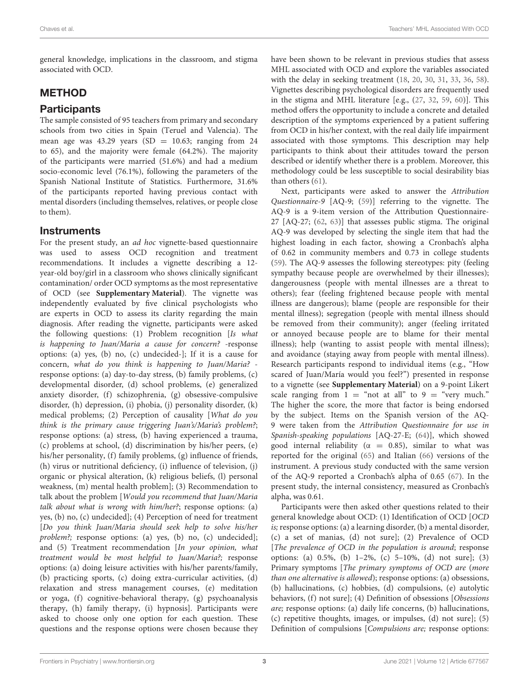general knowledge, implications in the classroom, and stigma associated with OCD.

# METHOD

## **Participants**

The sample consisted of 95 teachers from primary and secondary schools from two cities in Spain (Teruel and Valencia). The mean age was  $43.29$  years (SD = 10.63; ranging from 24 to 65), and the majority were female (64.2%). The majority of the participants were married (51.6%) and had a medium socio-economic level (76.1%), following the parameters of the Spanish National Institute of Statistics. Furthermore, 31.6% of the participants reported having previous contact with mental disorders (including themselves, relatives, or people close to them).

## **Instruments**

For the present study, an ad hoc vignette-based questionnaire was used to assess OCD recognition and treatment recommendations. It includes a vignette describing a 12 year-old boy/girl in a classroom who shows clinically significant contamination/ order OCD symptoms as the most representative of OCD (see **[Supplementary Material](#page-7-16)**). The vignette was independently evaluated by five clinical psychologists who are experts in OCD to assess its clarity regarding the main diagnosis. After reading the vignette, participants were asked the following questions: (1) Problem recognition [Is what is happening to Juan/Maria a cause for concern? -response options: (a) yes, (b) no, (c) undecided-]; If it is a cause for concern, what do you think is happening to Juan/Maria? response options: (a) day-to-day stress, (b) family problems, (c) developmental disorder, (d) school problems, (e) generalized anxiety disorder, (f) schizophrenia, (g) obsessive-compulsive disorder, (h) depression, (i) phobia, (j) personality disorder, (k) medical problems; (2) Perception of causality [What do you think is the primary cause triggering Juan's/Maria's problem?; response options: (a) stress, (b) having experienced a trauma, (c) problems at school, (d) discrimination by his/her peers, (e) his/her personality, (f) family problems, (g) influence of friends, (h) virus or nutritional deficiency, (i) influence of television, (j) organic or physical alteration, (k) religious beliefs, (l) personal weakness, (m) mental health problem]; (3) Recommendation to talk about the problem [Would you recommend that Juan/Maria talk about what is wrong with him/her?; response options: (a) yes, (b) no, (c) undecided]; (4) Perception of need for treatment [Do you think Juan/Maria should seek help to solve his/her problem?; response options: (a) yes, (b) no, (c) undecided]; and (5) Treatment recommendation [In your opinion, what treatment would be most helpful to Juan/Maria?; response options: (a) doing leisure activities with his/her parents/family, (b) practicing sports, (c) doing extra-curricular activities, (d) relaxation and stress management courses, (e) meditation or yoga, (f) cognitive-behavioral therapy, (g) psychoanalysis therapy, (h) family therapy, (i) hypnosis]. Participants were asked to choose only one option for each question. These questions and the response options were chosen because they have been shown to be relevant in previous studies that assess MHL associated with OCD and explore the variables associated with the delay in seeking treatment [\(18,](#page-7-12) [20,](#page-7-14) [30,](#page-8-5) [31,](#page-8-6) [33,](#page-8-8) [36,](#page-8-29) [58\)](#page-8-30). Vignettes describing psychological disorders are frequently used in the stigma and MHL literature [e.g., [\(27,](#page-8-2) [32,](#page-8-7) [59,](#page-8-31) [60\)](#page-8-32)]. This method offers the opportunity to include a concrete and detailed description of the symptoms experienced by a patient suffering from OCD in his/her context, with the real daily life impairment associated with those symptoms. This description may help participants to think about their attitudes toward the person described or identify whether there is a problem. Moreover, this methodology could be less susceptible to social desirability bias than others [\(61\)](#page-8-33).

Next, participants were asked to answer the Attribution Questionnaire-9 [AQ-9; [\(59\)](#page-8-31)] referring to the vignette. The AQ-9 is a 9-item version of the Attribution Questionnaire-27 [AQ-27; [\(62,](#page-8-34) [63\)](#page-8-35)] that assesses public stigma. The original AQ-9 was developed by selecting the single item that had the highest loading in each factor, showing a Cronbach's alpha of 0.62 in community members and 0.73 in college students [\(59\)](#page-8-31). The AQ-9 assesses the following stereotypes: pity (feeling sympathy because people are overwhelmed by their illnesses); dangerousness (people with mental illnesses are a threat to others); fear (feeling frightened because people with mental illness are dangerous); blame (people are responsible for their mental illness); segregation (people with mental illness should be removed from their community); anger (feeling irritated or annoyed because people are to blame for their mental illness); help (wanting to assist people with mental illness); and avoidance (staying away from people with mental illness). Research participants respond to individual items (e.g., "How scared of Juan/María would you feel?") presented in response to a vignette (see **[Supplementary Material](#page-7-16)**) on a 9-point Likert scale ranging from  $1 = \text{``not at all''}$  to  $9 = \text{``very much."}$ The higher the score, the more that factor is being endorsed by the subject. Items on the Spanish version of the AQ-9 were taken from the Attribution Questionnaire for use in Spanish-speaking populations [AQ-27-E; [\(64\)](#page-8-36)], which showed good internal reliability ( $\alpha = 0.85$ ), similar to what was reported for the original [\(65\)](#page-9-0) and Italian [\(66\)](#page-9-1) versions of the instrument. A previous study conducted with the same version of the AQ-9 reported a Cronbach's alpha of 0.65 [\(67\)](#page-9-2). In the present study, the internal consistency, measured as Cronbach's alpha, was 0.61.

Participants were then asked other questions related to their general knowledge about OCD: (1) Identification of OCD [OCD is; response options: (a) a learning disorder, (b) a mental disorder, (c) a set of manias, (d) not sure]; (2) Prevalence of OCD [The prevalence of OCD in the population is around; response options: (a) 0.5%, (b) 1–2%, (c) 5–10%, (d) not sure]; (3) Primary symptoms [The primary symptoms of OCD are (more than one alternative is allowed); response options: (a) obsessions, (b) hallucinations, (c) hobbies, (d) compulsions, (e) autolytic behaviors, (f) not sure]; (4) Definition of obsessions [Obsessions are; response options: (a) daily life concerns, (b) hallucinations, (c) repetitive thoughts, images, or impulses, (d) not sure]; (5) Definition of compulsions [Compulsions are; response options: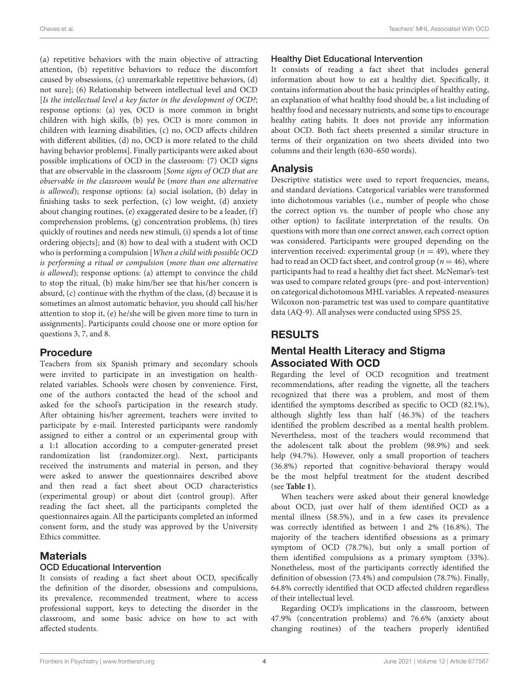(a) repetitive behaviors with the main objective of attracting attention, (b) repetitive behaviors to reduce the discomfort caused by obsessions, (c) unremarkable repetitive behaviors, (d) not sure]; (6) Relationship between intellectual level and OCD [Is the intellectual level a key factor in the development of OCD?; response options: (a) yes, OCD is more common in bright children with high skills, (b) yes, OCD is more common in children with learning disabilities, (c) no, OCD affects children with different abilities, (d) no, OCD is more related to the child having behavior problems]. Finally participants were asked about possible implications of OCD in the classroom: (7) OCD signs that are observable in the classroom [Some signs of OCD that are observable in the classroom would be (more than one alternative is allowed); response options: (a) social isolation, (b) delay in finishing tasks to seek perfection, (c) low weight, (d) anxiety about changing routines, (e) exaggerated desire to be a leader, (f) comprehension problems, (g) concentration problems, (h) tires quickly of routines and needs new stimuli, (i) spends a lot of time ordering objects]; and (8) how to deal with a student with OCD who is performing a compulsion [When a child with possible OCD is performing a ritual or compulsion (more than one alternative is allowed); response options: (a) attempt to convince the child to stop the ritual, (b) make him/her see that his/her concern is absurd, (c) continue with the rhythm of the class, (d) because it is sometimes an almost automatic behavior, you should call his/her attention to stop it, (e) he/she will be given more time to turn in assignments]. Participants could choose one or more option for questions 3, 7, and 8.

## Procedure

Teachers from six Spanish primary and secondary schools were invited to participate in an investigation on healthrelated variables. Schools were chosen by convenience. First, one of the authors contacted the head of the school and asked for the school's participation in the research study. After obtaining his/her agreement, teachers were invited to participate by e-mail. Interested participants were randomly assigned to either a control or an experimental group with a 1:1 allocation according to a computer-generated preset randomization list [\(randomizer.org\)](https://randomizer.org). Next, participants received the instruments and material in person, and they were asked to answer the questionnaires described above and then read a fact sheet about OCD characteristics (experimental group) or about diet (control group). After reading the fact sheet, all the participants completed the questionnaires again. All the participants completed an informed consent form, and the study was approved by the University Ethics committee.

## **Materials**

## OCD Educational Intervention

It consists of reading a fact sheet about OCD, specifically the definition of the disorder, obsessions and compulsions, its prevalence, recommended treatment, where to access professional support, keys to detecting the disorder in the classroom, and some basic advice on how to act with affected students.

## Healthy Diet Educational Intervention

It consists of reading a fact sheet that includes general information about how to eat a healthy diet. Specifically, it contains information about the basic principles of healthy eating, an explanation of what healthy food should be, a list including of healthy food and necessary nutrients, and some tips to encourage healthy eating habits. It does not provide any information about OCD. Both fact sheets presented a similar structure in terms of their organization on two sheets divided into two columns and their length (630–650 words).

## Analysis

Descriptive statistics were used to report frequencies, means, and standard deviations. Categorical variables were transformed into dichotomous variables (i.e., number of people who chose the correct option vs. the number of people who chose any other option) to facilitate interpretation of the results. On questions with more than one correct answer, each correct option was considered. Participants were grouped depending on the intervention received: experimental group ( $n = 49$ ), where they had to read an OCD fact sheet, and control group ( $n = 46$ ), where participants had to read a healthy diet fact sheet. McNemar's-test was used to compare related groups (pre- and post-intervention) on categorical dichotomous MHL variables. A repeated-measures Wilcoxon non-parametric test was used to compare quantitative data (AQ-9). All analyses were conducted using SPSS 25.

## RESULTS

## Mental Health Literacy and Stigma Associated With OCD

Regarding the level of OCD recognition and treatment recommendations, after reading the vignette, all the teachers recognized that there was a problem, and most of them identified the symptoms described as specific to OCD (82.1%), although slightly less than half (46.3%) of the teachers identified the problem described as a mental health problem. Nevertheless, most of the teachers would recommend that the adolescent talk about the problem (98.9%) and seek help (94.7%). However, only a small proportion of teachers (36.8%) reported that cognitive-behavioral therapy would be the most helpful treatment for the student described (see **[Table 1](#page-4-0)**).

When teachers were asked about their general knowledge about OCD, just over half of them identified OCD as a mental illness (58.5%), and in a few cases its prevalence was correctly identified as between 1 and 2% (16.8%). The majority of the teachers identified obsessions as a primary symptom of OCD (78.7%), but only a small portion of them identified compulsions as a primary symptom (33%). Nonetheless, most of the participants correctly identified the definition of obsession (73.4%) and compulsion (78.7%). Finally, 64.8% correctly identified that OCD affected children regardless of their intellectual level.

Regarding OCD's implications in the classroom, between 47.9% (concentration problems) and 76.6% (anxiety about changing routines) of the teachers properly identified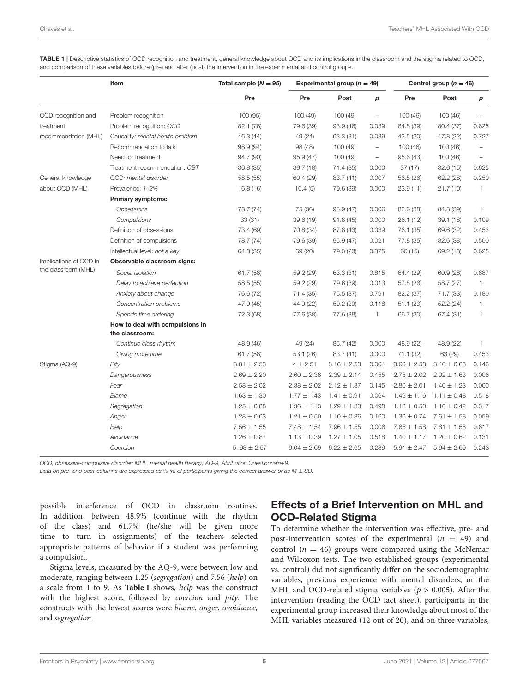<span id="page-4-0"></span>TABLE 1 | Descriptive statistics of OCD recognition and treatment, general knowledge about OCD and its implications in the classroom and the stigma related to OCD, and comparison of these variables before (pre) and after (post) the intervention in the experimental and control groups.

|                                               | Item                                              | Total sample $(N = 95)$<br>Pre | Experimental group ( $n = 49$ ) |                 |                          | Control group $(n = 46)$ |                 |                          |
|-----------------------------------------------|---------------------------------------------------|--------------------------------|---------------------------------|-----------------|--------------------------|--------------------------|-----------------|--------------------------|
|                                               |                                                   |                                | Pre                             | Post            | p                        | Pre                      | Post            | p                        |
| OCD recognition and                           | Problem recognition                               | 100 (95)                       | 100(49)                         | 100 (49)        | $\qquad \qquad -$        | 100(46)                  | 100 (46)        | $\overline{\phantom{a}}$ |
| treatment                                     | Problem recognition: OCD                          | 82.1 (78)                      | 79.6 (39)                       | 93.9 (46)       | 0.039                    | 84.8 (39)                | 80.4 (37)       | 0.625                    |
| recommendation (MHL)                          | Causality: mental health problem                  | 46.3 (44)                      | 49 (24)                         | 63.3 (31)       | 0.039                    | 43.5 (20)                | 47.8 (22)       | 0.727                    |
|                                               | Recommendation to talk                            | 98.9 (94)                      | 98 (48)                         | 100 (49)        | $\overline{\phantom{0}}$ | 100(46)                  | 100(46)         | $\overline{\phantom{m}}$ |
|                                               | Need for treatment                                | 94.7 (90)                      | 95.9 (47)                       | 100 (49)        | $\overline{\phantom{a}}$ | 95.6(43)                 | 100 (46)        | $\overline{\phantom{a}}$ |
|                                               | Treatment recommendation: CBT                     | 36.8 (35)                      | 36.7(18)                        | 71.4 (35)       | 0.000                    | 37(17)                   | 32.6(15)        | 0.625                    |
| General knowledge                             | OCD: mental disorder                              | 58.5 (55)                      | 60.4 (29)                       | 83.7 (41)       | 0.007                    | 56.5 (26)                | 62.2 (28)       | 0.250                    |
| about OCD (MHL)                               | Prevalence: 1-2%                                  | 16.8(16)                       | 10.4(5)                         | 79.6 (39)       | 0.000                    | 23.9(11)                 | 21.7(10)        | $\mathbf{1}$             |
|                                               | <b>Primary symptoms:</b>                          |                                |                                 |                 |                          |                          |                 |                          |
|                                               | <b>Obsessions</b>                                 | 78.7 (74)                      | 75 (36)                         | 95.9 (47)       | 0.006                    | 82.6 (38)                | 84.8 (39)       | $\mathbf{1}$             |
|                                               | Compulsions                                       | 33(31)                         | 39.6 (19)                       | 91.8(45)        | 0.000                    | 26.1(12)                 | 39.1(18)        | 0.109                    |
|                                               | Definition of obsessions                          | 73.4 (69)                      | 70.8 (34)                       | 87.8 (43)       | 0.039                    | 76.1 (35)                | 69.6 (32)       | 0.453                    |
|                                               | Definition of compulsions                         | 78.7 (74)                      | 79.6 (39)                       | 95.9 (47)       | 0.021                    | 77.8 (35)                | 82.6 (38)       | 0.500                    |
|                                               | Intellectual level: not a key                     | 64.8 (35)                      | 69 (20)                         | 79.3 (23)       | 0.375                    | 60 (15)                  | 69.2 (18)       | 0.625                    |
| Implications of OCD in<br>the classroom (MHL) | Observable classroom signs:                       |                                |                                 |                 |                          |                          |                 |                          |
|                                               | Social isolation                                  | 61.7(58)                       | 59.2 (29)                       | 63.3 (31)       | 0.815                    | 64.4 (29)                | 60.9 (28)       | 0.687                    |
|                                               | Delay to achieve perfection                       | 58.5 (55)                      | 59.2 (29)                       | 79.6 (39)       | 0.013                    | 57.8 (26)                | 58.7 (27)       | $\mathbf{1}$             |
|                                               | Anxiety about change                              | 76.6 (72)                      | 71.4 (35)                       | 75.5 (37)       | 0.791                    | 82.2 (37)                | 71.7 (33)       | 0.180                    |
|                                               | Concentration problems                            | 47.9 (45)                      | 44.9 (22)                       | 59.2 (29)       | 0.118                    | 51.1(23)                 | 52.2 (24)       | $\mathbf{1}$             |
|                                               | Spends time ordering                              | 72.3 (68)                      | 77.6 (38)                       | 77.6 (38)       | 1                        | 66.7 (30)                | 67.4 (31)       | $\mathbf{1}$             |
|                                               | How to deal with compulsions in<br>the classroom: |                                |                                 |                 |                          |                          |                 |                          |
|                                               | Continue class rhythm                             | 48.9 (46)                      | 49 (24)                         | 85.7 (42)       | 0.000                    | 48.9 (22)                | 48.9 (22)       | 1                        |
|                                               | Giving more time                                  | 61.7(58)                       | 53.1 (26)                       | 83.7 (41)       | 0.000                    | 71.1 (32)                | 63 (29)         | 0.453                    |
| Stigma (AQ-9)                                 | Pity                                              | $3.81 \pm 2.53$                | $4 \pm 2.51$                    | $3.16 \pm 2.53$ | 0.004                    | $3.60 \pm 2.58$          | $3.40 \pm 0.68$ | 0.146                    |
|                                               | Dangerousness                                     | $2.69 \pm 2.20$                | $2.60 \pm 2.38$                 | $2.39 \pm 2.14$ | 0.455                    | $2.78 \pm 2.02$          | $2.02 \pm 1.63$ | 0.006                    |
|                                               | Fear                                              | $2.58 \pm 2.02$                | $2.38 \pm 2.02$                 | $2.12 \pm 1.87$ | 0.145                    | $2.80 \pm 2.01$          | $1.40 \pm 1.23$ | 0.000                    |
|                                               | <b>Blame</b>                                      | $1.63 \pm 1.30$                | $1.77 \pm 1.43$                 | $1.41 \pm 0.91$ | 0.064                    | $1.49 \pm 1.16$          | $1.11 \pm 0.48$ | 0.518                    |
|                                               | Segregation                                       | $1.25 \pm 0.88$                | $1.36 \pm 1.13$                 | $1.29 \pm 1.33$ | 0.498                    | $1.13 \pm 0.50$          | $1.16 \pm 0.42$ | 0.317                    |
|                                               | Anger                                             | $1.28 \pm 0.63$                | $1.21 \pm 0.50$                 | $1.10 \pm 0.36$ | 0.160                    | $1.36 \pm 0.74$          | $7.61 \pm 1.58$ | 0.059                    |
|                                               | Help                                              | $7.56 \pm 1.55$                | $7.48 \pm 1.54$                 | $7.96 \pm 1.55$ | 0.006                    | $7.65 \pm 1.58$          | $7.61 \pm 1.58$ | 0.617                    |
|                                               | Avoidance                                         | $1.26 \pm 0.87$                | $1.13 \pm 0.39$                 | $1.27 \pm 1.05$ | 0.518                    | $1.40 \pm 1.17$          | $1.20 \pm 0.62$ | 0.131                    |
|                                               | Coercion                                          | 5.98 $\pm$ 2.57                | $6.04 \pm 2.69$                 | $6.22 \pm 2.65$ | 0.239                    | $5.91 \pm 2.47$          | $5.64 \pm 2.69$ | 0.243                    |

OCD, obsessive-compulsive disorder; MHL, mental health literacy; AQ-9, Attribution Questionnaire-9.

Data on pre- and post-columns are expressed as % (n) of participants giving the correct answer or as  $M \pm SD$ .

possible interference of OCD in classroom routines. In addition, between 48.9% (continue with the rhythm of the class) and 61.7% (he/she will be given more time to turn in assignments) of the teachers selected appropriate patterns of behavior if a student was performing a compulsion.

Stigma levels, measured by the AQ-9, were between low and moderate, ranging between 1.25 (segregation) and 7.56 (help) on a scale from 1 to 9. As **[Table 1](#page-4-0)** shows, help was the construct with the highest score, followed by coercion and pity. The constructs with the lowest scores were blame, anger, avoidance, and segregation.

## Effects of a Brief Intervention on MHL and OCD-Related Stigma

To determine whether the intervention was effective, pre- and post-intervention scores of the experimental  $(n = 49)$  and control ( $n = 46$ ) groups were compared using the McNemar and Wilcoxon tests. The two established groups (experimental vs. control) did not significantly differ on the sociodemographic variables, previous experience with mental disorders, or the MHL and OCD-related stigma variables ( $p > 0.005$ ). After the intervention (reading the OCD fact sheet), participants in the experimental group increased their knowledge about most of the MHL variables measured (12 out of 20), and on three variables,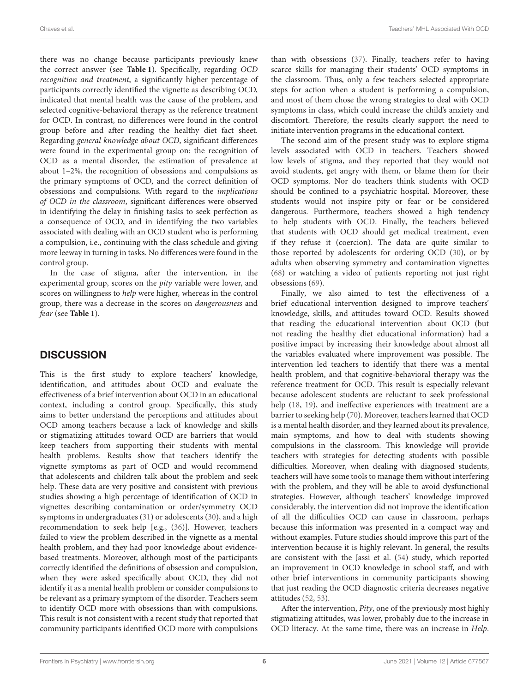there was no change because participants previously knew the correct answer (see **[Table 1](#page-4-0)**). Specifically, regarding OCD recognition and treatment, a significantly higher percentage of participants correctly identified the vignette as describing OCD, indicated that mental health was the cause of the problem, and selected cognitive-behavioral therapy as the reference treatment for OCD. In contrast, no differences were found in the control group before and after reading the healthy diet fact sheet. Regarding general knowledge about OCD, significant differences were found in the experimental group on: the recognition of OCD as a mental disorder, the estimation of prevalence at about 1–2%, the recognition of obsessions and compulsions as the primary symptoms of OCD, and the correct definition of obsessions and compulsions. With regard to the implications of OCD in the classroom, significant differences were observed in identifying the delay in finishing tasks to seek perfection as a consequence of OCD, and in identifying the two variables associated with dealing with an OCD student who is performing a compulsion, i.e., continuing with the class schedule and giving more leeway in turning in tasks. No differences were found in the control group.

In the case of stigma, after the intervention, in the experimental group, scores on the pity variable were lower, and scores on willingness to help were higher, whereas in the control group, there was a decrease in the scores on dangerousness and fear (see **[Table 1](#page-4-0)**).

## **DISCUSSION**

This is the first study to explore teachers' knowledge, identification, and attitudes about OCD and evaluate the effectiveness of a brief intervention about OCD in an educational context, including a control group. Specifically, this study aims to better understand the perceptions and attitudes about OCD among teachers because a lack of knowledge and skills or stigmatizing attitudes toward OCD are barriers that would keep teachers from supporting their students with mental health problems. Results show that teachers identify the vignette symptoms as part of OCD and would recommend that adolescents and children talk about the problem and seek help. These data are very positive and consistent with previous studies showing a high percentage of identification of OCD in vignettes describing contamination or order/symmetry OCD symptoms in undergraduates [\(31\)](#page-8-6) or adolescents [\(30\)](#page-8-5), and a high recommendation to seek help [e.g., [\(36\)](#page-8-29)]. However, teachers failed to view the problem described in the vignette as a mental health problem, and they had poor knowledge about evidencebased treatments. Moreover, although most of the participants correctly identified the definitions of obsession and compulsion, when they were asked specifically about OCD, they did not identify it as a mental health problem or consider compulsions to be relevant as a primary symptom of the disorder. Teachers seem to identify OCD more with obsessions than with compulsions. This result is not consistent with a recent study that reported that community participants identified OCD more with compulsions than with obsessions [\(37\)](#page-8-11). Finally, teachers refer to having scarce skills for managing their students' OCD symptoms in the classroom. Thus, only a few teachers selected appropriate steps for action when a student is performing a compulsion, and most of them chose the wrong strategies to deal with OCD symptoms in class, which could increase the child's anxiety and discomfort. Therefore, the results clearly support the need to initiate intervention programs in the educational context.

The second aim of the present study was to explore stigma levels associated with OCD in teachers. Teachers showed low levels of stigma, and they reported that they would not avoid students, get angry with them, or blame them for their OCD symptoms. Nor do teachers think students with OCD should be confined to a psychiatric hospital. Moreover, these students would not inspire pity or fear or be considered dangerous. Furthermore, teachers showed a high tendency to help students with OCD. Finally, the teachers believed that students with OCD should get medical treatment, even if they refuse it (coercion). The data are quite similar to those reported by adolescents for ordering OCD [\(30\)](#page-8-5), or by adults when observing symmetry and contamination vignettes [\(68\)](#page-9-3) or watching a video of patients reporting not just right obsessions [\(69\)](#page-9-4).

Finally, we also aimed to test the effectiveness of a brief educational intervention designed to improve teachers' knowledge, skills, and attitudes toward OCD. Results showed that reading the educational intervention about OCD (but not reading the healthy diet educational information) had a positive impact by increasing their knowledge about almost all the variables evaluated where improvement was possible. The intervention led teachers to identify that there was a mental health problem, and that cognitive-behavioral therapy was the reference treatment for OCD. This result is especially relevant because adolescent students are reluctant to seek professional help [\(18,](#page-7-12) [19\)](#page-7-13), and ineffective experiences with treatment are a barrier to seeking help [\(70\)](#page-9-5). Moreover, teachers learned that OCD is a mental health disorder, and they learned about its prevalence, main symptoms, and how to deal with students showing compulsions in the classroom. This knowledge will provide teachers with strategies for detecting students with possible difficulties. Moreover, when dealing with diagnosed students, teachers will have some tools to manage them without interfering with the problem, and they will be able to avoid dysfunctional strategies. However, although teachers' knowledge improved considerably, the intervention did not improve the identification of all the difficulties OCD can cause in classroom, perhaps because this information was presented in a compact way and without examples. Future studies should improve this part of the intervention because it is highly relevant. In general, the results are consistent with the Jassi et al. [\(54\)](#page-8-25) study, which reported an improvement in OCD knowledge in school staff, and with other brief interventions in community participants showing that just reading the OCD diagnostic criteria decreases negative attitudes [\(52,](#page-8-23) [53\)](#page-8-24).

After the intervention, Pity, one of the previously most highly stigmatizing attitudes, was lower, probably due to the increase in OCD literacy. At the same time, there was an increase in Help.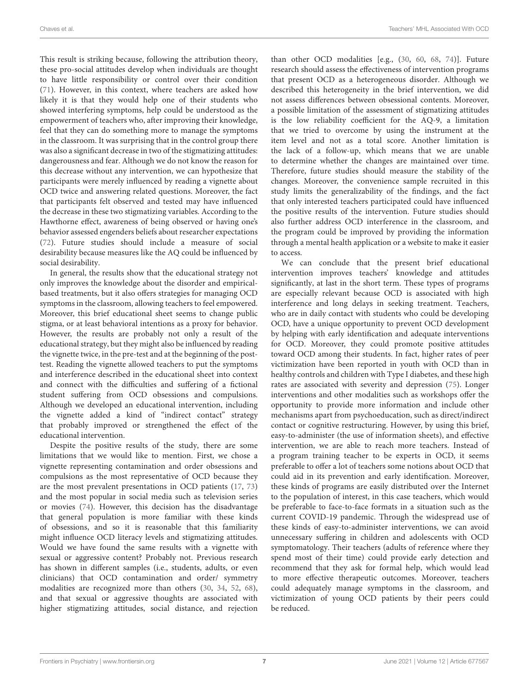This result is striking because, following the attribution theory, these pro-social attitudes develop when individuals are thought to have little responsibility or control over their condition [\(71\)](#page-9-6). However, in this context, where teachers are asked how likely it is that they would help one of their students who showed interfering symptoms, help could be understood as the empowerment of teachers who, after improving their knowledge, feel that they can do something more to manage the symptoms in the classroom. It was surprising that in the control group there was also a significant decrease in two of the stigmatizing attitudes: dangerousness and fear. Although we do not know the reason for this decrease without any intervention, we can hypothesize that participants were merely influenced by reading a vignette about OCD twice and answering related questions. Moreover, the fact that participants felt observed and tested may have influenced the decrease in these two stigmatizing variables. According to the Hawthorne effect, awareness of being observed or having one's behavior assessed engenders beliefs about researcher expectations [\(72\)](#page-9-7). Future studies should include a measure of social desirability because measures like the AQ could be influenced by social desirability.

In general, the results show that the educational strategy not only improves the knowledge about the disorder and empiricalbased treatments, but it also offers strategies for managing OCD symptoms in the classroom, allowing teachers to feel empowered. Moreover, this brief educational sheet seems to change public stigma, or at least behavioral intentions as a proxy for behavior. However, the results are probably not only a result of the educational strategy, but they might also be influenced by reading the vignette twice, in the pre-test and at the beginning of the posttest. Reading the vignette allowed teachers to put the symptoms and interference described in the educational sheet into context and connect with the difficulties and suffering of a fictional student suffering from OCD obsessions and compulsions. Although we developed an educational intervention, including the vignette added a kind of "indirect contact" strategy that probably improved or strengthened the effect of the educational intervention.

Despite the positive results of the study, there are some limitations that we would like to mention. First, we chose a vignette representing contamination and order obsessions and compulsions as the most representative of OCD because they are the most prevalent presentations in OCD patients [\(17,](#page-7-11) [73\)](#page-9-8) and the most popular in social media such as television series or movies [\(74\)](#page-9-9). However, this decision has the disadvantage that general population is more familiar with these kinds of obsessions, and so it is reasonable that this familiarity might influence OCD literacy levels and stigmatizing attitudes. Would we have found the same results with a vignette with sexual or aggressive content? Probably not. Previous research has shown in different samples (i.e., students, adults, or even clinicians) that OCD contamination and order/ symmetry modalities are recognized more than others [\(30,](#page-8-5) [34,](#page-8-9) [52,](#page-8-23) [68\)](#page-9-3), and that sexual or aggressive thoughts are associated with higher stigmatizing attitudes, social distance, and rejection than other OCD modalities [e.g., [\(30,](#page-8-5) [60,](#page-8-32) [68,](#page-9-3) [74\)](#page-9-9)]. Future research should assess the effectiveness of intervention programs that present OCD as a heterogeneous disorder. Although we described this heterogeneity in the brief intervention, we did not assess differences between obsessional contents. Moreover, a possible limitation of the assessment of stigmatizing attitudes is the low reliability coefficient for the AQ-9, a limitation that we tried to overcome by using the instrument at the item level and not as a total score. Another limitation is the lack of a follow-up, which means that we are unable to determine whether the changes are maintained over time. Therefore, future studies should measure the stability of the changes. Moreover, the convenience sample recruited in this study limits the generalizability of the findings, and the fact that only interested teachers participated could have influenced the positive results of the intervention. Future studies should also further address OCD interference in the classroom, and the program could be improved by providing the information through a mental health application or a website to make it easier to access.

We can conclude that the present brief educational intervention improves teachers' knowledge and attitudes significantly, at last in the short term. These types of programs are especially relevant because OCD is associated with high interference and long delays in seeking treatment. Teachers, who are in daily contact with students who could be developing OCD, have a unique opportunity to prevent OCD development by helping with early identification and adequate interventions for OCD. Moreover, they could promote positive attitudes toward OCD among their students. In fact, higher rates of peer victimization have been reported in youth with OCD than in healthy controls and children with Type I diabetes, and these high rates are associated with severity and depression [\(75\)](#page-9-10). Longer interventions and other modalities such as workshops offer the opportunity to provide more information and include other mechanisms apart from psychoeducation, such as direct/indirect contact or cognitive restructuring. However, by using this brief, easy-to-administer (the use of information sheets), and effective intervention, we are able to reach more teachers. Instead of a program training teacher to be experts in OCD, it seems preferable to offer a lot of teachers some notions about OCD that could aid in its prevention and early identification. Moreover, these kinds of programs are easily distributed over the Internet to the population of interest, in this case teachers, which would be preferable to face-to-face formats in a situation such as the current COVID-19 pandemic. Through the widespread use of these kinds of easy-to-administer interventions, we can avoid unnecessary suffering in children and adolescents with OCD symptomatology. Their teachers (adults of reference where they spend most of their time) could provide early detection and recommend that they ask for formal help, which would lead to more effective therapeutic outcomes. Moreover, teachers could adequately manage symptoms in the classroom, and victimization of young OCD patients by their peers could be reduced.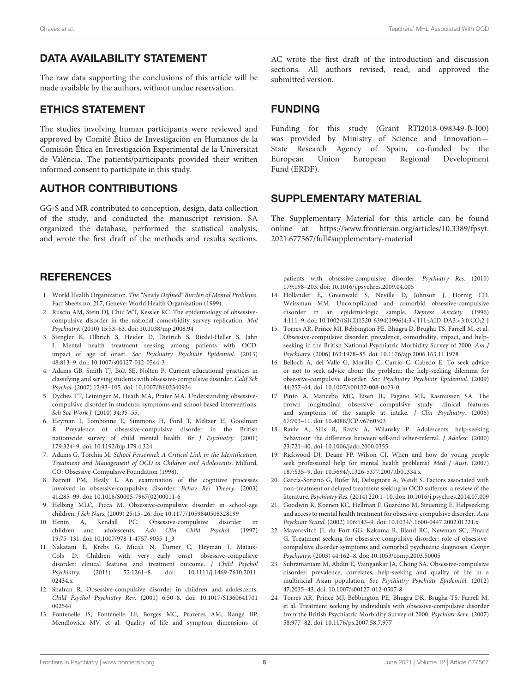## DATA AVAILABILITY STATEMENT

The raw data supporting the conclusions of this article will be made available by the authors, without undue reservation.

## ETHICS STATEMENT

The studies involving human participants were reviewed and approved by Comité Ético de Investigación en Humanos de la Comisión Ética en Investigación Experimental de la Universitat de València. The patients/participants provided their written informed consent to participate in this study.

## AUTHOR CONTRIBUTIONS

GG-S and MR contributed to conception, design, data collection of the study, and conducted the manuscript revision. SA organized the database, performed the statistical analysis, and wrote the first draft of the methods and results sections.

## **REFERENCES**

- <span id="page-7-0"></span>1. World Health Organization. The "Newly Defined" Burden of Mental Problems. Fact Sheets no. 217, Geneve: World Health Organization (1999).
- <span id="page-7-1"></span>2. Ruscio AM, Stein DJ, Chiu WT, Kessler RC. The epidemiology of obsessivecompulsive disorder in the national comorbidity survey replication. Mol Psychiatry. (2010) 15:53–63. doi: [10.1038/mp.2008.94](https://doi.org/10.1038/mp.2008.94)
- <span id="page-7-2"></span>3. Stengler K, Olbrich S, Heider D, Dietrich S, Riedel-Heller S, Jahn I. Mental health treatment seeking among patients with OCD: impact of age of onset. Soc Psychiatry Psychiatr Epidemiol. (2013) 48:813–9. doi: [10.1007/s00127-012-0544-3](https://doi.org/10.1007/s00127-012-0544-3)
- <span id="page-7-3"></span>4. Adams GB, Smith TJ, Bolt SE, Nolten P. Current educational practices in classifying and serving students with obsessive-compulsive disorder. Calif Sch Psychol. (2007) 12:93–105. doi: [10.1007/BF03340934](https://doi.org/10.1007/BF03340934)
- 5. Dyches TT, Leininger M, Heath MA, Prater MA. Understanding obsessivecompulsive disorder in students: symptoms and school-based interventions. Sch Soc Work J. (2010) 34:35–55.
- <span id="page-7-4"></span>6. Heyman I, Fombonne E, Simmons H, Ford T, Meltzer H, Goodman R. Prevalence of obsessive-compulsive disorder in the British nationwide survey of child mental health. Br J Psychiatry. (2001) 179:324–9. doi: [10.1192/bjp.179.4.324](https://doi.org/10.1192/bjp.179.4.324)
- <span id="page-7-5"></span>7. Adams G, Torchia M. School Personnel: A Critical Link in the Identification, Treatment and Management of OCD in Children and Adolescents. Milford, CO: Obsessive-Compulsive Foundation (1998).
- 8. Barrett PM, Healy L. An examination of the cognitive processes involved in obsessive-compulsive disorder. Behav Res Theory. (2003) 41:285–99. doi: [10.1016/S0005-7967\(02\)00011-6](https://doi.org/10.1016/S0005-7967(02)00011-6)
- 9. Helbing MLC, Ficca M. Obsessive-compulsive disorder in school-age children. J Sch Nurs. (2009) 25:15–26. doi: [10.1177/1059840508328199](https://doi.org/10.1177/1059840508328199)
- 10. Henin A, Kendall PC. Obsessive-compulsive disorder in children and adolescents. Adv Clin Child Psychol. (1997) 19:75–131. doi: [10.1007/978-1-4757-9035-1\\_3](https://doi.org/10.1007/978-1-4757-9035-1_3)
- 11. Nakatani E, Krebs G, Micali N, Turner C, Heyman I, Mataix-Cols D. Children with very early onset obsessive-compulsive disorder: clinical features and treatment outcome. *J Child Psychol Psychiatry.* (2011) 52:1261-8. doi: 10.1111/j.1469-7610.2011.  $(2011)$  52:1261–8. doi: 10.1111/j.1469-7610.2011. 02434.x
- <span id="page-7-6"></span>12. Shafran R. Obsessive-compulsive disorder in children and adolescents. Child Psychol Psychiatry Rev. [\(2001\) 6:50–8. doi: 10.1017/S1360641701](https://doi.org/10.1017/S1360641701002544) 002544
- <span id="page-7-7"></span>13. Fontenelle IS, Fontenelle LF, Borges MC, Prazeres AM, Rangé BP, Mendlowicz MV, et al. Quality of life and symptom dimensions of

AC wrote the first draft of the introduction and discussion sections. All authors revised, read, and approved the submitted version.

## FUNDING

Funding for this study (Grant RTI2018-098349-B-I00) was provided by Ministry of Science and Innovation— State Research Agency of Spain, co-funded by the European Union European Regional Development Fund (ERDF).

## SUPPLEMENTARY MATERIAL

<span id="page-7-16"></span>The Supplementary Material for this article can be found [online at: https://www.frontiersin.org/articles/10.3389/fpsyt.](https://www.frontiersin.org/articles/10.3389/fpsyt.2021.677567/full#supplementary-material) 2021.677567/full#supplementary-material

patients with obsessive-compulsive disorder. Psychiatry Res. (2010) 179:198–203. doi: [10.1016/j.psychres.2009.04.005](https://doi.org/10.1016/j.psychres.2009.04.005)

- <span id="page-7-8"></span>14. Hollander E, Greenwald S, Neville D, Johnson J, Hornig CD, Weissman MM. Uncomplicated and comorbid obsessive-compulsive disorder in an epidemiologic sample. Depress Anxiety. (1996) 4:111–9. doi: [10.1002/\(SICI\)1520-6394\(1996\)4:3](https://doi.org/10.1002/(SICI)1520-6394(1996)4:3$<$111::AID-DA3$>$3.0.CO)<111::AID-DA3>3.0.CO;2-J
- <span id="page-7-9"></span>15. Torres AR, Prince MJ, Bebbington PE, Bhugra D, Brugha TS, Farrell M, et al. Obsessive-compulsive disorder: prevalence, comorbidity, impact, and helpseeking in the British National Psychiatric Morbidity Survey of 2000. Am J Psychiatry. (2006) 163:1978–85. doi: [10.1176/ajp.2006.163.11.1978](https://doi.org/10.1176/ajp.2006.163.11.1978)
- <span id="page-7-10"></span>16. Belloch A, del Valle G, Morillo C, Carrió C, Cabedo E. To seek advice or not to seek advice about the problem: the help-seeking dilemma for obsessive-compulsive disorder. Soc Psychiatry Psychiatr Epidemiol. (2009) 44:257–64. doi: [10.1007/s00127-008-0423-0](https://doi.org/10.1007/s00127-008-0423-0)
- <span id="page-7-11"></span>17. Pinto A, Mancebo MC, Eisen JL, Pagano ME, Rasmussen SA. The brown longitudinal obsessive compulsive study: clinical features and symptoms of the sample at intake. J Clin Psychiatry. (2006) 67:703–11. doi: [10.4088/JCP.v67n0503](https://doi.org/10.4088/JCP.v67n0503)
- <span id="page-7-12"></span>18. Raviv A, Sills R, Raviv A, Wilansky P. Adolescents' help-seeking behaviour: the difference between self-and other-referral. J Adolesc. (2000) 23:721–40. doi: [10.1006/jado.2000.0355](https://doi.org/10.1006/jado.2000.0355)
- <span id="page-7-13"></span>19. Rickwood DJ, Deane FP, Wilson CJ. When and how do young people seek professional help for mental health problems? Med J Aust. (2007) 187:S35–9. doi: [10.5694/j.1326-5377.2007.tb01334.x](https://doi.org/10.5694/j.1326-5377.2007.tb01334.x)
- <span id="page-7-14"></span>20. García-Soriano G, Rufer M, Delsignore A, Weidt S. Factors associated with non-treatment or delayed treatment seeking in OCD sufferers: a review of the literature. Psychiatry Res. (2014) 220:1–10. doi: [10.1016/j.psychres.2014.07.009](https://doi.org/10.1016/j.psychres.2014.07.009)
- 21. Goodwin R, Koenen KC, Hellman F, Guardino M, Struening E. Helpseeking and access to mental health treatment for obsessive-compulsive disorder. Acta Psychiatr Scand. (2002) 106:143–9. doi: [10.1034/j.1600-0447.2002.01221.x](https://doi.org/10.1034/j.1600-0447.2002.01221.x)
- 22. Mayerovitch JI, du Fort GG, Kakuma R, Bland RC, Newman SC, Pinard G. Treatment seeking for obsessive-compulsive disorder: role of obsessivecompulsive disorder symptoms and comorbid psychiatric diagnoses. Compr Psychiatry. (2003) 44:162–8. doi: [10.1053/comp.2003.50005](https://doi.org/10.1053/comp.2003.50005)
- 23. Subramaniam M, Abdin E, Vaingankar JA, Chong SA. Obsessive-compulsive disorder: prevalence, correlates, help-seeking and quality of life in a multiracial Asian population. Soc Psychiatry Psychiatr Epidemiol. (2012) 47:2035–43. doi: [10.1007/s00127-012-0507-8](https://doi.org/10.1007/s00127-012-0507-8)
- <span id="page-7-15"></span>24. Torres AR, Prince MJ, Bebbington PE, Bhugra DK, Brugha TS, Farrell M, et al. Treatment seeking by individuals with obsessive-compulsive disorder from the British Psychiatric Morbidity Survey of 2000. Psychiatr Serv. (2007) 58:977–82. doi: [10.1176/ps.2007.58.7.977](https://doi.org/10.1176/ps.2007.58.7.977)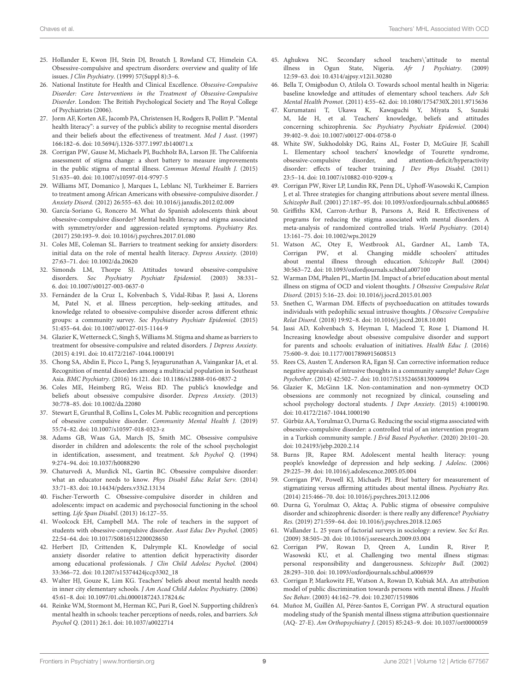- <span id="page-8-0"></span>25. Hollander E, Kwon JH, Stein DJ, Broatch J, Rowland CT, Himelein CA. Obsessive-compulsive and spectrum disorders: overview and quality of life issues. J Clin Psychiatry. (1999) 57(Suppl 8):3–6.
- <span id="page-8-1"></span>26. National Institute for Health and Clinical Excellence. Obsessive-Compulsive Disorder: Core Interventions in the Treatment of Obsessive-Compulsive Disorder. London: The British Psychological Society and The Royal College of Psychiatrists (2006).
- <span id="page-8-2"></span>27. Jorm AF, Korten AE, Jacomb PA, Christensen H, Rodgers B, Pollitt P. "Mental health literacy": a survey of the public's ability to recognise mental disorders and their beliefs about the effectiveness of treatment. Med J Aust. (1997) 166:182–6. doi: [10.5694/j.1326-5377.1997.tb140071.x](https://doi.org/10.5694/j.1326-5377.1997.tb140071.x)
- <span id="page-8-3"></span>28. Corrigan PW, Gause M, Michaels PJ, Buchholz BA, Larson JE. The California assessment of stigma change: a short battery to measure improvements in the public stigma of mental illness. Commun Mental Health J. (2015) 51:635–40. doi: [10.1007/s10597-014-9797-5](https://doi.org/10.1007/s10597-014-9797-5)
- <span id="page-8-4"></span>29. Williams MT, Domanico J, Marques L, Leblanc NJ, Turkheimer E. Barriers to treatment among African Americans with obsessive-compulsive disorder. J Anxiety Disord. (2012) 26:555–63. doi: [10.1016/j.janxdis.2012.02.009](https://doi.org/10.1016/j.janxdis.2012.02.009)
- <span id="page-8-5"></span>30. García-Soriano G, Roncero M. What do Spanish adolescents think about obsessive-compulsive disorder? Mental health literacy and stigma associated with symmetry/order and aggression-related symptoms. Psychiatry Res. (2017) 250:193–9. doi: [10.1016/j.psychres.2017.01.080](https://doi.org/10.1016/j.psychres.2017.01.080)
- <span id="page-8-6"></span>31. Coles ME, Coleman SL. Barriers to treatment seeking for anxiety disorders: initial data on the role of mental health literacy. Depress Anxiety. (2010) 27:63–71. doi: [10.1002/da.20620](https://doi.org/10.1002/da.20620)
- <span id="page-8-7"></span>32. Simonds LM, Thorpe SJ. Attitudes toward obsessive-compulsive disorders. Soc Psychiatry Psychiatr Epidemiol. (2003) 38:331– 6. doi: [10.1007/s00127-003-0637-0](https://doi.org/10.1007/s00127-003-0637-0)
- <span id="page-8-8"></span>33. Fernández de la Cruz L, Kolvenbach S, Vidal-Ribas P, Jassi A, Llorens M, Patel N, et al. Illness perception, help-seeking attitudes, and knowledge related to obsessive-compulsive disorder across different ethnic groups: a community survey. Soc Psychiatry Psychiatr Epidemiol. (2015) 51:455–64. doi: [10.1007/s00127-015-1144-9](https://doi.org/10.1007/s00127-015-1144-9)
- <span id="page-8-9"></span>34. Glazier K, Wetterneck C, Singh S, Williams M. Stigma and shame as barriers to treatment for obsessive-compulsive and related disorders. J Depress Anxiety. (2015) 4:191. doi: [10.4172/2167-1044.1000191](https://doi.org/10.4172/2167-1044.1000191)
- <span id="page-8-10"></span>35. Chong SA, Abdin E, Picco L, Pang S, Jeyagurunathan A, Vaingankar JA, et al. Recognition of mental disorders among a multiracial population in Southeast Asia. BMC Psychiatry. (2016) 16:121. doi: [10.1186/s12888-016-0837-2](https://doi.org/10.1186/s12888-016-0837-2)
- <span id="page-8-29"></span>36. Coles ME, Heimberg RG, Weiss BD. The public's knowledge and beliefs about obsessive compulsive disorder. Depress Anxiety. (2013) 30:778–85. doi: [10.1002/da.22080](https://doi.org/10.1002/da.22080)
- <span id="page-8-11"></span>37. Stewart E, Grunthal B, Collins L, Coles M. Public recognition and perceptions of obsessive compulsive disorder. Community Mental Health J. (2019) 55:74–82. doi: [10.1007/s10597-018-0323-z](https://doi.org/10.1007/s10597-018-0323-z)
- <span id="page-8-12"></span>38. Adams GB, Waas GA, March JS, Smith MC. Obsessive compulsive disorder in children and adolescents: the role of the school psychologist in identification, assessment, and treatment. Sch Psychol Q. (1994) 9:274–94. doi: [10.1037/h0088290](https://doi.org/10.1037/h0088290)
- 39. Chaturvedi A, Murdick NL, Gartin BC. Obsessive compulsive disorder: what an educator needs to know. Phys Disabil Educ Relat Serv. (2014) 33:71–83. doi: [10.14434/pders.v33i2.13134](https://doi.org/10.14434/pders.v33i2.13134)
- 40. Fischer-Terworth C. Obsessive-compulsive disorder in children and adolescents: impact on academic and psychosocial functioning in the school setting. Life Span Disabil. (2013) 16:127–55.
- <span id="page-8-13"></span>41. Woolcock EH, Campbell MA. The role of teachers in the support of students with obsessive-compulsive disorder. Aust Educ Dev Psychol. (2005) 22:54–64. doi: [10.1017/S0816512200028650](https://doi.org/10.1017/S0816512200028650)
- <span id="page-8-14"></span>42. Herbert JD, Crittenden K, Dalrymple KL. Knowledge of social anxiety disorder relative to attention deficit hyperactivity disorder among educational professionals. J Clin Child Adolesc Psychol. (2004) 33:366–72. doi: [10.1207/s15374424jccp3302\\_18](https://doi.org/10.1207/s15374424jccp3302_18)
- <span id="page-8-15"></span>43. Walter HJ, Gouze K, Lim KG. Teachers' beliefs about mental health needs in inner city elementary schools. J Am Acad Child Adolesc Psychiatry. (2006) 45:61–8. doi: [10.1097/01.chi.0000187243.17824.6c](https://doi.org/10.1097/01.chi.0000187243.17824.6c)
- <span id="page-8-16"></span>44. Reinke WM, Stormont M, Herman KC, Puri R, Goel N. Supporting children's mental health in schools: teacher perceptions of needs, roles, and barriers. Sch Psychol Q. (2011) 26:1. doi: [10.1037/a0022714](https://doi.org/10.1037/a0022714)
- <span id="page-8-17"></span>45. Aghukwa NC. Secondary school teachers\'attitude to mental illness in Ogun State, Nigeria. Afr J Psychiatry. (2009) 12:59–63. doi: [10.4314/ajpsy.v12i1.30280](https://doi.org/10.4314/ajpsy.v12i1.30280)
- 46. Bella T, Omigbodun O, Atilola O. Towards school mental health in Nigeria: baseline knowledge and attitudes of elementary school teachers. Adv Sch Mental Health Promot. (2011) 4:55–62. doi: [10.1080/1754730X.2011.9715636](https://doi.org/10.1080/1754730X.2011.9715636)
- <span id="page-8-18"></span>47. Kurumatani T, Ukawa K, Kawaguchi Y, Miyata S, Suzuki M, Ide H, et al. Teachers' knowledge, beliefs and attitudes concerning schizophrenia. Soc Psychiatry Psychiatr Epidemiol. (2004) 39:402–9. doi: [10.1007/s00127-004-0758-0](https://doi.org/10.1007/s00127-004-0758-0)
- <span id="page-8-19"></span>48. White SW, Sukhodolsky DG, Rains AL, Foster D, McGuire JF, Scahill L. Elementary school teachers' knowledge of Tourette syndrome, obsessive-compulsive disorder, and attention-deficit/hyperactivity disorder: effects of teacher training. J Dev Phys Disabil. (2011) 23:5–14. doi: [10.1007/s10882-010-9209-x](https://doi.org/10.1007/s10882-010-9209-x)
- <span id="page-8-20"></span>49. Corrigan PW, River LP, Lundin RK, Penn DL, Uphoff-Wasowski K, Campion J, et al. Three strategies for changing attributions about severe mental illness. Schizophr Bull. (2001) 27:187–95. doi: [10.1093/oxfordjournals.schbul.a006865](https://doi.org/10.1093/oxfordjournals.schbul.a006865)
- <span id="page-8-21"></span>50. Griffiths KM, Carron-Arthur B, Parsons A, Reid R. Effectiveness of programs for reducing the stigma associated with mental disorders. A meta-analysis of randomized controlled trials. World Psychiatry. (2014) 13:161–75. doi: [10.1002/wps.20129](https://doi.org/10.1002/wps.20129)
- <span id="page-8-22"></span>51. Watson AC, Otey E, Westbrook AL, Gardner AL, Lamb TA, Corrigan PW, et al. Changing middle schoolers' attitudes about mental illness through education. Schizophr Bull. (2004) 30:563–72. doi: [10.1093/oxfordjournals.schbul.a007100](https://doi.org/10.1093/oxfordjournals.schbul.a007100)
- <span id="page-8-23"></span>52. Warman DM, Phalen PL, Martin JM. Impact of a brief education about mental illness on stigma of OCD and violent thoughts. J Obsessive Compulsive Relat Disord. (2015) 5:16–23. doi: [10.1016/j.jocrd.2015.01.003](https://doi.org/10.1016/j.jocrd.2015.01.003)
- <span id="page-8-24"></span>53. Snethen C, Warman DM. Effects of psychoeducation on attitudes towards individuals with pedophilic sexual intrusive thoughts. J Obsessive Compulsive Relat Disord. (2018) 19:92–8. doi: [10.1016/j.jocrd.2018.10.001](https://doi.org/10.1016/j.jocrd.2018.10.001)
- <span id="page-8-25"></span>54. Jassi AD, Kolvenbach S, Heyman I, Macleod T, Rose J, Diamond H. Increasing knowledge about obsessive compulsive disorder and support for parents and schools: evaluation of initiatives. Health Educ J. (2016) 75:600–9. doi: [10.1177/0017896915608513](https://doi.org/10.1177/0017896915608513)
- <span id="page-8-26"></span>55. Rees CS, Austen T, Anderson RA, Egan SJ. Can corrective information reduce negative appraisals of intrusive thoughts in a community sample? Behav Cogn Psychother. (2014) 42:502–7. doi: [10.1017/S1352465813000994](https://doi.org/10.1017/S1352465813000994)
- <span id="page-8-27"></span>56. Glazier K, McGinn LK. Non-contamination and non-symmetry OCD obsessions are commonly not recognized by clinical, counseling and school psychology doctoral students. J Depr Anxiety. (2015) 4:1000190. doi: [10.4172/2167-1044.1000190](https://doi.org/10.4172/2167-1044.1000190)
- <span id="page-8-28"></span>57. Gürbüz AA, Yorulmaz O, Durna G. Reducing the social stigma associated with obsessive-compulsive disorder: a controlled trial of an intervention program in a Turkish community sample. J Evid Based Psychother. (2020) 20:101–20. doi: [10.24193/jebp.2020.2.14](https://doi.org/10.24193/jebp.2020.2.14)
- <span id="page-8-30"></span>58. Burns JR, Rapee RM. Adolescent mental health literacy: young people's knowledge of depression and help seeking. J Adolesc. (2006) 29:225–39. doi: [10.1016/j.adolescence.2005.05.004](https://doi.org/10.1016/j.adolescence.2005.05.004)
- <span id="page-8-31"></span>59. Corrigan PW, Powell KJ, Michaels PJ. Brief battery for measurement of stigmatizing versus affirming attitudes about mental illness. Psychiatry Res. (2014) 215:466–70. doi: [10.1016/j.psychres.2013.12.006](https://doi.org/10.1016/j.psychres.2013.12.006)
- <span id="page-8-32"></span>60. Durna G, Yorulmaz O, Aktaç A. Public stigma of obsessive compulsive disorder and schizophrenic disorder: is there really any difference? Psychiatry Res. (2019) 271:559–64. doi: [10.1016/j.psychres.2018.12.065](https://doi.org/10.1016/j.psychres.2018.12.065)
- <span id="page-8-33"></span>61. Wallander L. 25 years of factorial surveys in sociology: a review. Soc Sci Res. (2009) 38:505–20. doi: [10.1016/j.ssresearch.2009.03.004](https://doi.org/10.1016/j.ssresearch.2009.03.004)
- <span id="page-8-34"></span>62. Corrigan PW, Rowan D, Qreen A, Lundin R, River P, Wasowski KU, et al. Challenging two mental illness stigmas: personal responsibility and dangerousness. Schizophr Bull. (2002) 28:293–310. doi: [10.1093/oxfordjournals.schbul.a006939](https://doi.org/10.1093/oxfordjournals.schbul.a006939)
- <span id="page-8-35"></span>63. Corrigan P, Markowitz FE, Watson A, Rowan D, Kubiak MA. An attribution model of public discrimination towards persons with mental illness. J Health Soc Behav. (2003) 44:162–79. doi: [10.2307/1519806](https://doi.org/10.2307/1519806)
- <span id="page-8-36"></span>64. Muñoz M, Guillén AI, Pérez-Santos E, Corrigan PW. A structural equation modeling study of the Spanish mental illness stigma attribution questionnaire (AQ- 27-E). Am Orthopsychiatry J. (2015) 85:243–9. doi: [10.1037/ort0000059](https://doi.org/10.1037/ort0000059)